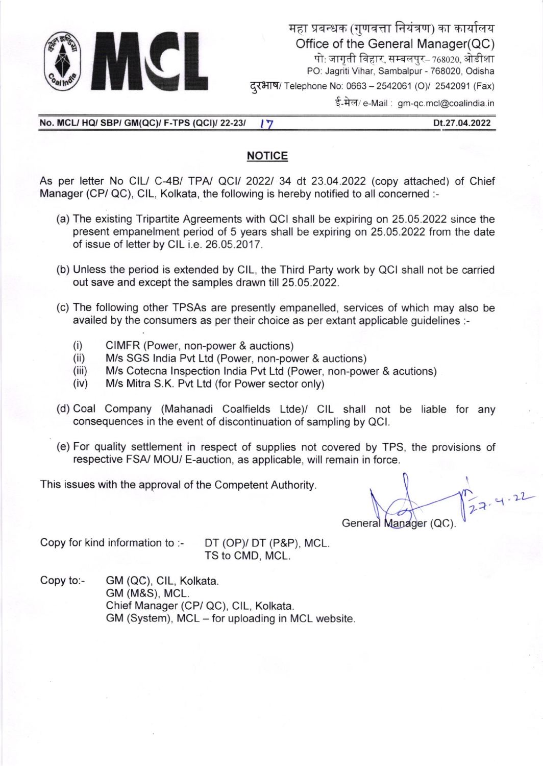

महा प्रबन्धक (गुणवत्ता नियंत्रण) का कार्यालय Office of the General Manager(QC) पो: जागती विहार, सम्बलपुर– 768020, ओडीशा PO: Jagriti Vihar, Sambalpur - 768020, Odisha दरभाष/ Telephone No: 0663 - 2542061 (O)/ 2542091 (Fax)

ई-मेल/ e-Mail : gm-qc.mcl@coalindia.in

No. MCL/ HQ/ SBP/ GM(QC)/ F-TPS (QCI)/ 22-23/  $\sqrt{7}$  Dt.27.04.2022

## NOTICE

As per letter No CIL/ C-4B/ TPA/ QCI/ 2022/ 34 dt 23.04.2022 (copy attached) of Chief Manager (CP/ QC), CIL, Kolkata, the following is hereby notified to all concerned :-

- (a) The existing Tripartite Agreements with QCI shall be expiring on 25.05.2022 since the present empanelment period of 5 years shall be expiring on 25.05.2022 from the date of issue of letter by CIL i.e. 26.05.2017.
- (b) Unless the period is extended by ClL, the Third Party work by QCI shall not be carried out save and except the samples drawn till 25.05.2022.
- (c) The following other TPSAs are presently empanelled, services of which may also be availed by the consumers as per their choice as per extant applicable guidelines :-
	-
	-
	- (i) CIMFR (Power, non-power & auctions) (ii) M/s SGS lndia Pvt Ltd (Power, non-power & auctions) (iii) M/s Cotecna lnspection lndia Pvt Ltd (Power, non-power & acutions) (iv) M/s Mitra S.K. Pvt Ltd (for Power sector only)
	-
- (d) Coal Company (Mahanadi Coalfields Ltde)/ CIL shall not be liable for any consequences in the event of discontinuation of sampling by QCl.
- (e) For quality settlement in respect of supplies not covered by TPS, the provisions of respective FSA/ MOU/ E-auction, as applicable, will remain in force.

This issues with the approval of the Competent Authority.

 $\overline{r}$ General Manager (QC)  $-1.22$ 

Copy for kind information to :- DT (OPy DT (P&P), MCL.

TS to CMD, MCL.

Copy to:- GM (OC), ClL, Kolkata. GM (M&S), MCL. Chief Manager (CP/ QC), CIL, Kolkata. GM (System), MCL - for uploading in MCL website.